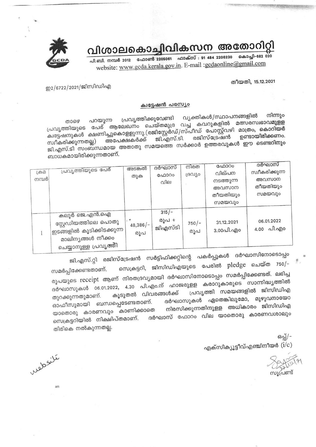# വിശാലകൊച്ചിവികസന അതോറിറ്റി

പി.ബി. നമ്പർ 2012 ഫോൺ 2205061 ഫാക്സ് : 91 484 2206230 കൊച്ചി-682 020 website: www.gcda.kerala.gov.in. E-mail :gcdaonline@gmail.com

തീയതി, 15.12.2021

ഇ2/6722/2021/ജിസിഡിഎ

## ക്വട്ടേഷൻ പരസ്യം

വ്യക്തികൾ/സ്ഥാപനങ്ങളിൽ നിന്നും പ്രവൃത്തിക്കുവേണ്ടി പ്രവൃത്തിയുടെ പേര് ആലേഖനം ചെയ്തമുദ്ര വച്ച കവറുകളിൽ മത്സരസ്വഭാവമുള്ള പറയുന്ന ക്വട്ടേഷനുകൾ ക്ഷണിച്ചുകൊളളുന്നു.(രജിസ്റ്റേർഡ്/സ്പീഡ് പോസ്റ്റ്വഴി മാത്രം, കൊറിയർ രജിസ്ട്രേഷൻ ജി.എസ്.ടി. അപേക്ഷകർക്ക് സ്വീകരിക്കുന്നതല്ല) ജി.എസ്.ടി സംബന്ധമായ അതാതു സമയത്തെ സർക്കാർ ഉത്തരവുകൾ ഈ ടെണ്ടറിനും ബാധകമായിരിക്കുന്നതാണ്.

| டுக்க<br>നമ്പർ | പ്രവൃത്തിയുടെ പേര്                                                                                               | അടങ്കൽ<br>തുക            | ദർഘാസ്<br>ഫോറം<br>വില       | നിരത<br>ദ്രഗ്യാ | ഫോറം<br>വില്പന<br>നടത്തുന്ന<br>അവസാന<br>തീയതിയും<br>സമയവും | ദർഘാസ<br>സ്വീകരിക്കുന്ന<br>അവസാന<br>തീയതിയും<br>സമയവും |
|----------------|------------------------------------------------------------------------------------------------------------------|--------------------------|-----------------------------|-----------------|------------------------------------------------------------|--------------------------------------------------------|
|                | കലൂർ ജെ.എൻ.ഐ<br>സ്റ്റേഡിയത്തിലെ പൊതു<br>'ഇടങ്ങളിൽ കൂടിക്കിടക്കുന്ന<br>മാലിനൃങ്ങൾ നീക്കം<br>ചെയ്യാനുള്ള പ്രവൃത്തി | . *<br>$48,386/-$<br>രൂപ | $315/-$<br>രൂപ +<br>ജിഎസ്ടി | $750/-$<br>രൂപ  | 31.12.2021<br>3.00പി.എo                                    | 06.01.2022<br>4.00 வி.வு)                              |

ജി.എസ്.റ്റി രജിസ്ട്രേഷൻ സർട്ടിഫിക്കറ്റിന്റെ പകർപ്പുകൾ ദർഘാസിനോടൊപ്പം സെക്രട്ടറി, ജിസിഡിഎയുടെ പേരിൽ pledge ചെയ്ത  $750/-$ സമർപ്പിക്കേണ്ടതാണ്. രൂപയുടെ receipt ആണ് നിരതദ്രവ്യമായി ദർഘാസിനോടൊപ്പം സമർപ്പിക്കേണ്ടത്. ലഭിച്ച ദർഘാസുകൾ 06.01.2022, 4.30 പി.എം.ന് ഹാജരുളള കരാറുകാരുടെ സാന്നിദ്ധ്യത്തിൽ പ്രവൃത്തി സമയങ്ങളിൽ ജിസിഡിഎ കൂടുതൽ വിവരങ്ങൾക്ക് തുറക്കുന്നതുമാണ്. ദർഘാസുകൾ ഏതെങ്കിലുമോ, മുഴുവനായോ ബന്ധപ്പെടേണ്ടതാണ്. ഓഫീസുമായി നിരസിക്കുന്നതിനുളള അധികാരം ജിസിഡിഎ യാതൊരു കാരണവും കാണിക്കാതെ ദർഘാസ് ഫോറം വില യാതൊരു കാരണവശാലും സെക്രട്ടറിയിൽ നിക്ഷിപ്തമാണ്. തിരികെ നൽകുന്നതല്ല.

> ഒപ്പ്/-എക്സിക്യൂട്ടീവ്എഞ്ചിനീയർ  $(\mathrm{i}/\mathrm{c})$

ilisativ

am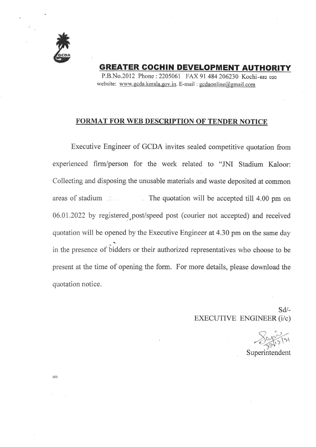

GREATER GOGHIN DEVELOPMENT AUTHORITY

P.B.No.20l2 Phone:2205061 FAX 91 484 206230 Kochi-osz ozo website: www.gcda.kerala.gov.in. E-mail : gcdaonline@gmail.com

## FORMAT FOR WEB DESCRIPTION OF TENDER NOTICE

Executive Engineer of GCDA invites sealed competitive quotation from experienced firm/person for the work related to "JNI Stadium Kaloor: Collecting and disposing the unusable materials and waste deposited at common areas of stadium The quotation will be accepted till 4.00 pm on 06.01.2022 by registered.post/speed post (courier not accepted) and received quotation will be opened by the Executive Engineer at 4.30 pm on the same day in the presence of bidders or their authorized representatives who choose to be present at the time of opening the form. For more details, please download the quotation notice.

> sd/- EXECUTIVE ENGINEER(i/c)

r)

Superintendent

am